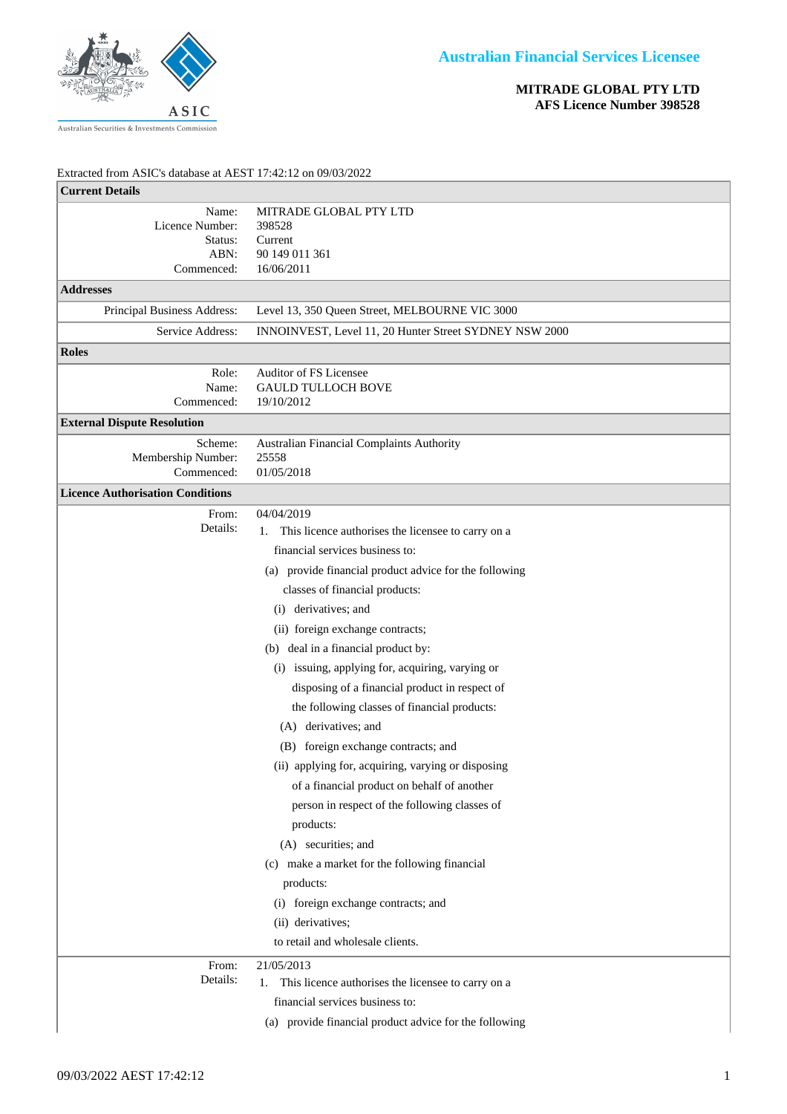

**MITRADE GLOBAL PTY LTD AFS Licence Number 398528**

## Extracted from ASIC's database at AEST 17:42:12 on 09/03/2022

| <b>Current Details</b>                                    |                                                                             |
|-----------------------------------------------------------|-----------------------------------------------------------------------------|
| Name:<br>Licence Number:<br>Status:<br>ABN:<br>Commenced: | MITRADE GLOBAL PTY LTD<br>398528<br>Current<br>90 149 011 361<br>16/06/2011 |
| <b>Addresses</b>                                          |                                                                             |
| Principal Business Address:                               | Level 13, 350 Queen Street, MELBOURNE VIC 3000                              |
| Service Address:                                          | INNOINVEST, Level 11, 20 Hunter Street SYDNEY NSW 2000                      |
| <b>Roles</b>                                              |                                                                             |
| Role:<br>Name:<br>Commenced:                              | Auditor of FS Licensee<br><b>GAULD TULLOCH BOVE</b><br>19/10/2012           |
| <b>External Dispute Resolution</b>                        |                                                                             |
| Scheme:<br>Membership Number:<br>Commenced:               | <b>Australian Financial Complaints Authority</b><br>25558<br>01/05/2018     |
| <b>Licence Authorisation Conditions</b>                   |                                                                             |
| From:<br>Details:                                         | 04/04/2019<br>This licence authorises the licensee to carry on a<br>1.      |
|                                                           | financial services business to:                                             |
|                                                           | (a) provide financial product advice for the following                      |
|                                                           | classes of financial products:                                              |
|                                                           | (i) derivatives; and                                                        |
|                                                           | (ii) foreign exchange contracts;                                            |
|                                                           | (b) deal in a financial product by:                                         |
|                                                           | (i) issuing, applying for, acquiring, varying or                            |
|                                                           | disposing of a financial product in respect of                              |
|                                                           | the following classes of financial products:                                |
|                                                           | (A) derivatives; and                                                        |
|                                                           | (B) foreign exchange contracts; and                                         |
|                                                           | (ii) applying for, acquiring, varying or disposing                          |
|                                                           | of a financial product on behalf of another                                 |
|                                                           | person in respect of the following classes of                               |
|                                                           | products:                                                                   |
|                                                           | (A) securities; and                                                         |
|                                                           | (c) make a market for the following financial                               |
|                                                           | products:                                                                   |
|                                                           | (i) foreign exchange contracts; and                                         |
|                                                           | (ii) derivatives;                                                           |
|                                                           | to retail and wholesale clients.                                            |
| From:<br>Details:                                         | 21/05/2013                                                                  |
|                                                           | This licence authorises the licensee to carry on a<br>1.                    |
|                                                           | financial services business to:                                             |
|                                                           | (a) provide financial product advice for the following                      |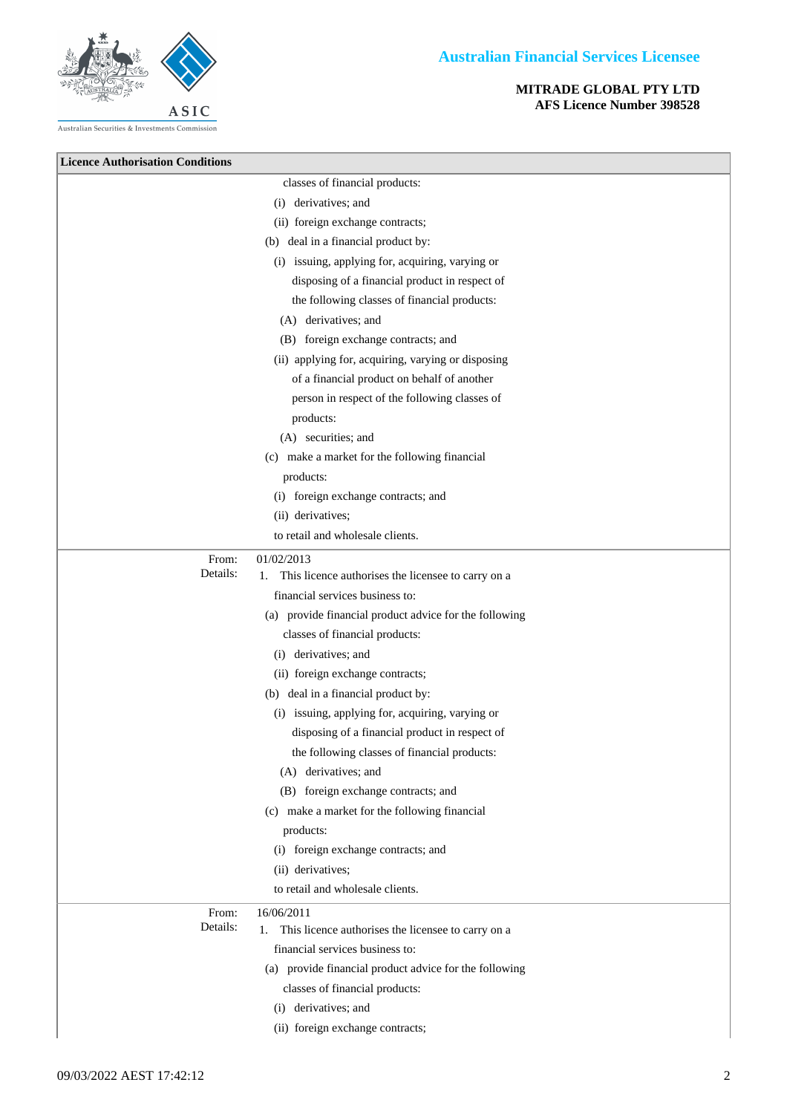## **MITRADE GLOBAL PTY LTD AFS Licence Number 398528**



| <b>Licence Authorisation Conditions</b> |                                                          |
|-----------------------------------------|----------------------------------------------------------|
|                                         | classes of financial products:                           |
|                                         | (i) derivatives; and                                     |
|                                         | (ii) foreign exchange contracts;                         |
|                                         | (b) deal in a financial product by:                      |
|                                         | (i) issuing, applying for, acquiring, varying or         |
|                                         | disposing of a financial product in respect of           |
|                                         | the following classes of financial products:             |
|                                         | (A) derivatives; and                                     |
|                                         | (B) foreign exchange contracts; and                      |
|                                         | (ii) applying for, acquiring, varying or disposing       |
|                                         | of a financial product on behalf of another              |
|                                         | person in respect of the following classes of            |
|                                         | products:                                                |
|                                         | (A) securities; and                                      |
|                                         | (c) make a market for the following financial            |
|                                         | products:                                                |
|                                         | (i) foreign exchange contracts; and                      |
|                                         | (ii) derivatives;                                        |
|                                         | to retail and wholesale clients.                         |
| From:                                   | 01/02/2013                                               |
| Details:                                | This licence authorises the licensee to carry on a<br>1. |
|                                         | financial services business to:                          |
|                                         | (a) provide financial product advice for the following   |
|                                         | classes of financial products:                           |
|                                         | (i) derivatives; and                                     |
|                                         | (ii) foreign exchange contracts;                         |
|                                         | (b) deal in a financial product by:                      |
|                                         | (i) issuing, applying for, acquiring, varying or         |
|                                         | disposing of a financial product in respect of           |
|                                         | the following classes of financial products:             |
|                                         | (A) derivatives; and                                     |
|                                         | (B) foreign exchange contracts; and                      |
|                                         | (c) make a market for the following financial            |
|                                         | products:                                                |
|                                         | (i) foreign exchange contracts; and                      |
|                                         | (ii) derivatives;                                        |
|                                         | to retail and wholesale clients.                         |
| From:                                   | 16/06/2011                                               |
| Details:                                | This licence authorises the licensee to carry on a<br>1. |
|                                         | financial services business to:                          |
|                                         | (a) provide financial product advice for the following   |
|                                         | classes of financial products:                           |
|                                         | (i) derivatives; and                                     |
|                                         | (ii) foreign exchange contracts;                         |